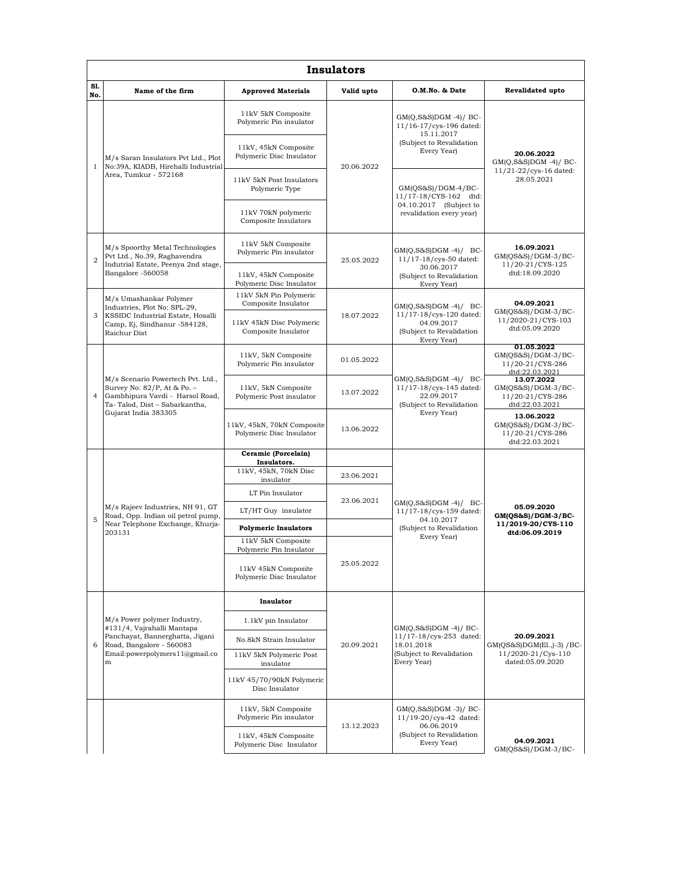| <b>Insulators</b> |                                                                                                                                                                 |                                                                                                   |            |                                                                                                            |                                                                                    |  |  |  |  |
|-------------------|-----------------------------------------------------------------------------------------------------------------------------------------------------------------|---------------------------------------------------------------------------------------------------|------------|------------------------------------------------------------------------------------------------------------|------------------------------------------------------------------------------------|--|--|--|--|
| S1.<br>No.        | Name of the firm                                                                                                                                                | <b>Approved Materials</b>                                                                         | Valid upto | O.M.No. & Date                                                                                             | <b>Revalidated upto</b>                                                            |  |  |  |  |
| $\mathbf{1}$      | M/s Saran Insulators Pvt Ltd., Plot<br>No:39A, KIADB, Hirehalli Industrial<br>Area, Tumkur - 572168                                                             | 11kV 5kN Composite<br>Polymeric Pin insulator<br>11kV, 45kN Composite<br>Polymeric Disc Insulator | 20.06.2022 | $GM(Q,S\&S)DGM -4)/BC$<br>11/16-17/cys-196 dated:<br>15.11.2017<br>(Subject to Revalidation<br>Every Year) | 20.06.2022<br>$GM(Q,S&S)DGM -4)/BC$<br>11/21-22/cys-16 dated:<br>28.05.2021        |  |  |  |  |
|                   |                                                                                                                                                                 | 11kV 5kN Post Insulators<br>Polymeric Type                                                        |            | $GM(OS&S)/DGM-4/BC-$<br>11/17-18/CYS-162 dtd:<br>04.10.2017 (Subject to<br>revalidation every year)        |                                                                                    |  |  |  |  |
|                   |                                                                                                                                                                 | 11kV 70kN polymeric<br>Composite Insulators                                                       |            |                                                                                                            |                                                                                    |  |  |  |  |
| $\overline{2}$    | M/s Spoorthy Metal Technologies<br>Pvt Ltd., No.39, Raghavendra<br>Indutrial Estate, Peenya 2nd stage,<br>Bangalore -560058                                     | 11kV 5kN Composite<br>Polymeric Pin insulator                                                     | 25.05.2022 | $GM(Q,S&S)DGM -4)/BC$<br>11/17-18/cys-50 dated:<br>30.06.2017<br>(Subject to Revalidation<br>Every Year)   | 16.09.2021<br>$GM(QS&S)/DGM-3/BC-$<br>11/20-21/CYS-125<br>dtd:18.09.2020           |  |  |  |  |
|                   |                                                                                                                                                                 | 11kV, 45kN Composite<br>Polymeric Disc Insulator                                                  |            |                                                                                                            |                                                                                    |  |  |  |  |
| 3                 | M/s Umashankar Polymer<br>Industries, Plot No: SPL-29,<br>KSSIDC Industrial Estate, Hosalli<br>Camp, Ej, Sindhanur -584128,<br>Raichur Dist                     | 11kV 5kN Pin Polymeric<br>Composite Insulator                                                     | 18.07.2022 | $GM(Q,S&S)DGM -4)/BC$<br>11/17-18/cys-120 dated:<br>04.09.2017<br>(Subject to Revalidation<br>Every Year)  | 04.09.2021<br>GM(QS&S)/DGM-3/BC-<br>11/2020-21/CYS-103<br>dtd:05.09.2020           |  |  |  |  |
|                   |                                                                                                                                                                 | 11kV 45kN Disc Polymeric<br>Composite Insulator                                                   |            |                                                                                                            |                                                                                    |  |  |  |  |
|                   | M/s Scenario Powertech Pvt. Ltd.,<br>Survey No: 82/P, At & Po. -<br>Gambhipura Vavdi - Harsol Road,<br>Ta-Talod, Dist - Sabarkantha,<br>Gujarat India 383305    | 11kV, 5kN Composite<br>Polymeric Pin insulator                                                    | 01.05.2022 | $GM(Q,S&S)DGM -4)/BC$<br>11/17-18/cys-145 dated:<br>22.09.2017<br>(Subject to Revalidation<br>Every Year)  | 01.05.2022<br>$GM(QS&S)/DGM-3/BC-$<br>11/20-21/CYS-286<br>dtd:22.03.2021           |  |  |  |  |
| $\overline{4}$    |                                                                                                                                                                 | 11kV, 5kN Composite<br>Polymeric Post insulator                                                   | 13.07.2022 |                                                                                                            | 13.07.2022<br>$GM(QS&S)/DGM-3/BC-$<br>11/20-21/CYS-286<br>dtd:22.03.2021           |  |  |  |  |
|                   |                                                                                                                                                                 | 11kV, 45kN, 70kN Composite<br>Polymeric Disc Insulator                                            | 13.06.2022 |                                                                                                            | 13.06.2022<br>$GM(QS&S)/DGM-3/BC-$<br>11/20-21/CYS-286<br>dtd:22.03.2021           |  |  |  |  |
|                   | M/s Rajeev Industries, NH 91, GT<br>Road, Opp. Indian oil petrol pump,<br>Near Telephone Exchange, Khurja-<br>203131                                            | Ceramic (Porcelain)<br>Insulators.                                                                |            | $GM(Q,S&S)DGM -4)/BC$<br>11/17-18/cys-159 dated:<br>04.10.2017<br>(Subject to Revalidation<br>Every Year)  | 05.09.2020<br>GM(QS&S)/DGM-3/BC-<br>11/2019-20/CYS-110<br>dtd:06.09.2019           |  |  |  |  |
|                   |                                                                                                                                                                 | 11kV, 45kN, 70kN Disc<br>insulator                                                                | 23.06.2021 |                                                                                                            |                                                                                    |  |  |  |  |
|                   |                                                                                                                                                                 | LT Pin Insulator                                                                                  | 23.06.2021 |                                                                                                            |                                                                                    |  |  |  |  |
| 5                 |                                                                                                                                                                 | LT/HT Guy insulator                                                                               |            |                                                                                                            |                                                                                    |  |  |  |  |
|                   |                                                                                                                                                                 | <b>Polymeric Insulators</b>                                                                       |            |                                                                                                            |                                                                                    |  |  |  |  |
|                   |                                                                                                                                                                 | 11kV 5kN Composite<br>Polymeric Pin Insulator                                                     |            |                                                                                                            |                                                                                    |  |  |  |  |
|                   |                                                                                                                                                                 | 11kV 45kN Composite<br>Polymeric Disc Insulator                                                   | 25.05.2022 |                                                                                                            |                                                                                    |  |  |  |  |
|                   | M/s Power polymer Industry,<br>#131/4, Vajrahalli Mantapa<br>Panchayat, Bannerghatta, Jigani<br>Road, Bangalore - 560083<br>Email:powerpolymers11@gmail.co<br>m | Insulator                                                                                         | 20.09.2021 | $GM(Q,S&S)DGM -4)/BC-$<br>11/17-18/cys-253 dated:<br>18.01.2018<br>(Subject to Revalidation<br>Every Year) | 20.09.2021<br>$GM(QS&S)DGM(E1, -3) / BC$<br>11/2020-21/Cys-110<br>dated:05.09.2020 |  |  |  |  |
|                   |                                                                                                                                                                 | 1.1kV pin Insulator                                                                               |            |                                                                                                            |                                                                                    |  |  |  |  |
| 6                 |                                                                                                                                                                 | No.8kN Strain Insulator<br>11kV 5kN Polymeric Post                                                |            |                                                                                                            |                                                                                    |  |  |  |  |
|                   |                                                                                                                                                                 | insulator<br>11kV 45/70/90kN Polymeric                                                            |            |                                                                                                            |                                                                                    |  |  |  |  |
|                   |                                                                                                                                                                 | Disc Insulator                                                                                    |            |                                                                                                            |                                                                                    |  |  |  |  |
|                   |                                                                                                                                                                 | 11kV, 5kN Composite<br>Polymeric Pin insulator                                                    | 13.12.2023 | $GM(Q,S&S)DGM -3)/BC$<br>11/19-20/cys-42 dated:<br>06.06.2019<br>(Subject to Revalidation<br>Every Year)   |                                                                                    |  |  |  |  |
|                   |                                                                                                                                                                 | 11kV, 45kN Composite<br>Polymeric Disc Insulator                                                  |            |                                                                                                            | 04.09.2021<br>GM(QS&S)/DGM-3/BC-                                                   |  |  |  |  |